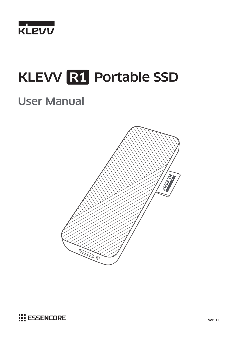

# KLEVV R1 Portable SSD

# User Manual



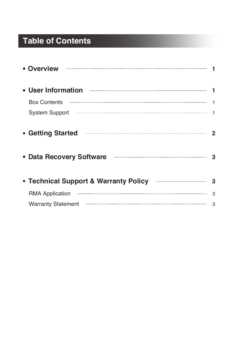## **Table of Contents**

| <b>Diverview 2008 - Product Service Service Service Service Service Service Service Service Service Service Service Service Service Service Service Service Service Service Service Service Service Service Service Service Serv</b> |  |
|--------------------------------------------------------------------------------------------------------------------------------------------------------------------------------------------------------------------------------------|--|
|                                                                                                                                                                                                                                      |  |
|                                                                                                                                                                                                                                      |  |
| System Support manufactured and the system Support 1                                                                                                                                                                                 |  |
| <b>Getting Started</b><br>Data Recovery Software <b>Manual Accovery Software</b>                                                                                                                                                     |  |
| <b>Technical Support &amp; Warranty Policy <b>Enstange Contract Street</b> 3</b>                                                                                                                                                     |  |
| RMA Application manufactured contact and a series of the series of the series of the series of the series of the series of the series of the series of the series of the series of the series of the series of the series of t       |  |
| Warranty Statement <b>Entry and Taraccellon</b> and Taraccellon and Taraccellon and Taraccellon and Taraccellon and Ta                                                                                                               |  |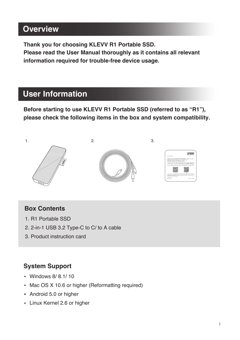## **Overview**

**Thank you for choosing KLEVV R1 Portable SSD. Please read the User Manual thoroughly as it contains all relevant information required for trouble-free device usage.**

## **User Information**

**Before starting to use KLEVV R1 Portable SSD (referred to as "R1"), please check the following items in the box and system compatibility.**



#### **Box Contents**

- 1. R1 Portable SSD
- 2. 2-in-1 USB 3.2 Type-C to C/ to A cable
- 3. Product instruction card

#### **System Support**

- Windows 8/ 8.1/ 10
- Mac OS X 10.6 or higher (Reformatting required)
- Android 5.0 or higher
- **Linux Kernel 2.6 or higher**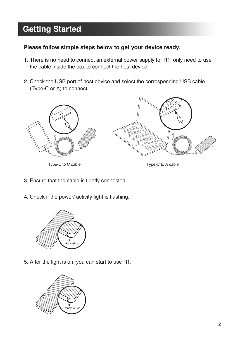## **Getting Started**

#### **Please follow simple steps below to get your device ready.**

- 1. There is no need to connect an external power supply for R1, only need to use the cable inside the box to connect the host device.
- 2. Check the USB port of host device and select the corresponding USB cable (Type-C or A) to connect.



Type-C to C cable Type-C to A cable

- 3. Ensure that the cable is tightly connected.
- 4. Check if the power/ activity light is flashing.



5. After the light is on, you can start to use R1.